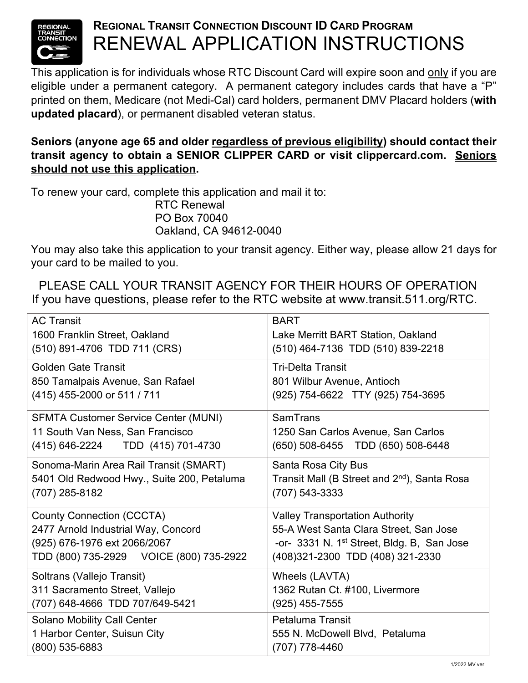

## **REGIONAL TRANSIT CONNECTION DISCOUNT ID CARD PROGRAM** RENEWAL APPLICATION INSTRUCTIONS

This application is for individuals whose RTC Discount Card will expire soon and only if you are eligible under a permanent category. A permanent category includes cards that have a "P" printed on them, Medicare (not Medi-Cal) card holders, permanent DMV Placard holders (**with updated placard**), or permanent disabled veteran status.

## **Seniors (anyone age 65 and older regardless of previous eligibility) should contact their transit agency to obtain a SENIOR CLIPPER CARD or visit clippercard.com. Seniors should not use this application.**

To renew your card, complete this application and mail it to: RTC Renewal PO Box 70040 Oakland, CA 94612-0040

You may also take this application to your transit agency. Either way, please allow 21 days for your card to be mailed to you.

PLEASE CALL YOUR TRANSIT AGENCY FOR THEIR HOURS OF OPERATION If you have questions, please refer to the RTC website at www.transit.511.org/RTC.

| <b>AC Transit</b>                           | <b>BART</b>                                              |
|---------------------------------------------|----------------------------------------------------------|
| 1600 Franklin Street, Oakland               | Lake Merritt BART Station, Oakland                       |
| (510) 891-4706 TDD 711 (CRS)                | (510) 464-7136 TDD (510) 839-2218                        |
| <b>Golden Gate Transit</b>                  | <b>Tri-Delta Transit</b>                                 |
| 850 Tamalpais Avenue, San Rafael            | 801 Wilbur Avenue, Antioch                               |
| (415) 455-2000 or 511 / 711                 | (925) 754-6622 TTY (925) 754-3695                        |
| <b>SFMTA Customer Service Center (MUNI)</b> | SamTrans                                                 |
| 11 South Van Ness, San Francisco            | 1250 San Carlos Avenue, San Carlos                       |
| (415) 646-2224 TDD (415) 701-4730           | (650) 508-6455 TDD (650) 508-6448                        |
| Sonoma-Marin Area Rail Transit (SMART)      | Santa Rosa City Bus                                      |
| 5401 Old Redwood Hwy., Suite 200, Petaluma  | Transit Mall (B Street and 2 <sup>nd</sup> ), Santa Rosa |
| (707) 285-8182                              | (707) 543-3333                                           |
| <b>County Connection (CCCTA)</b>            | <b>Valley Transportation Authority</b>                   |
| 2477 Arnold Industrial Way, Concord         | 55-A West Santa Clara Street, San Jose                   |
| (925) 676-1976 ext 2066/2067                | -or- 3331 N. 1 <sup>st</sup> Street, Bldg. B, San Jose   |
| TDD (800) 735-2929    VOICE (800) 735-2922  | (408) 321-2300 TDD (408) 321-2330                        |
| Soltrans (Vallejo Transit)                  | Wheels (LAVTA)                                           |
| 311 Sacramento Street, Vallejo              | 1362 Rutan Ct. #100, Livermore                           |
| (707) 648-4666 TDD 707/649-5421             | $(925)$ 455-7555                                         |
| <b>Solano Mobility Call Center</b>          | <b>Petaluma Transit</b>                                  |
| 1 Harbor Center, Suisun City                | 555 N. McDowell Blvd, Petaluma                           |
| $(800)$ 535-6883                            | (707) 778-4460                                           |